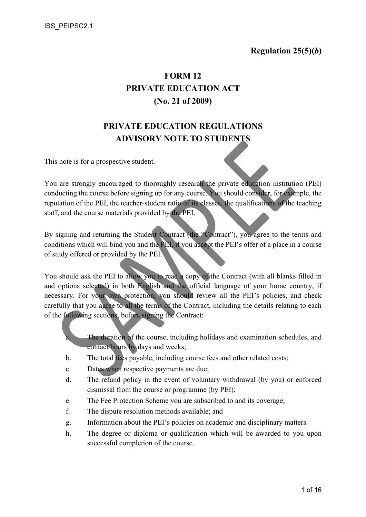# FORM 12 PRIVATE EDUCATION ACT (No. 21 of 2009)

# PRIVATE EDUCATION REGULATIONS ADVISORY NOTE TO STUDENTS

This note is for a prospective student.

You are strongly encouraged to thoroughly research the private education institution (PEI) conducting the course before signing up for any course. You should consider, for example, the reputation of the PEI, the teacher-student ratio of its classes, the qualifications of the teaching staff, and the course materials provided by the PEI.

By signing and returning the Student Contract (the "Contract"), you agree to the terms and conditions which will bind you and the PEI, if you accept the PEI's offer of a place in a course of study offered or provided by the PEI.

You should ask the PEI to allow you to read a copy of the Contract (with all blanks filled in and options selected) in both English and the official language of your home country, if necessary. For your own protection, you should review all the PEI's policies, and check carefully that you agree to all the terms of the Contract, including the details relating to each of the following sections, before signing the Contract:

> The duration of the course, including holidays and examination schedules, and contact hours by days and weeks;

- b. The total fees payable, including course fees and other related costs;
- c. Dates when respective payments are due;
- d. The refund policy in the event of voluntary withdrawal (by you) or enforced dismissal from the course or programme (by PEI);
- e. The Fee Protection Scheme you are subscribed to and its coverage;
- f. The dispute resolution methods available; and
- g. Information about the PEI's policies on academic and disciplinary matters.
- h. The degree or diploma or qualification which will be awarded to you upon successful completion of the course.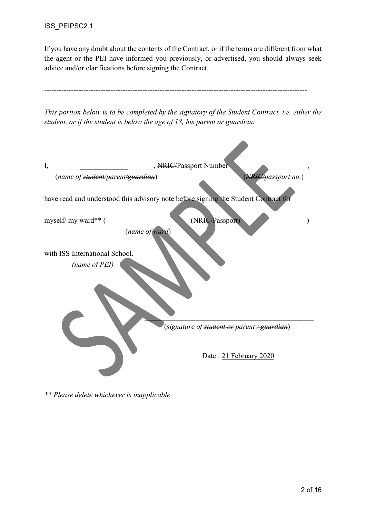ISS\_PEIPSC2.1

If you have any doubt about the contents of the Contract, or if the terms are different from what the agent or the PEI have informed you previously, or advertised, you should always seek advice and/or clarifications before signing the Contract.

| student, or if the student is below the age of 18, his parent or guardian. | This portion below is to be completed by the signatory of the Student Contract, i.e. either the |
|----------------------------------------------------------------------------|-------------------------------------------------------------------------------------------------|
| MRIC/Passport Number<br>I,                                                 |                                                                                                 |
| (name of student/parent/guardian)                                          | (NRIC/passport no.)                                                                             |
|                                                                            | have read and understood this advisory note before signing the Student Contract for             |
| myself/my ward** (<br>(name of ward)                                       | (NRIC/Passport)                                                                                 |
| with ISS International School.<br>(name of PEI)                            |                                                                                                 |
|                                                                            | (signature of <del>student or</del> parent <del>/ guardian</del> )                              |
|                                                                            | Date: 21 February 2020                                                                          |

\*\* Please delete whichever is inapplicable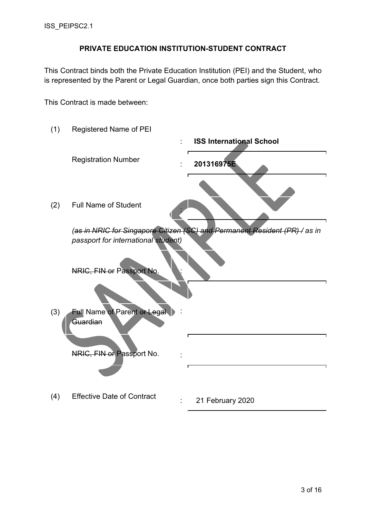#### PRIVATE EDUCATION INSTITUTION-STUDENT CONTRACT

This Contract binds both the Private Education Institution (PEI) and the Student, who is represented by the Parent or Legal Guardian, once both parties sign this Contract.

This Contract is made between:

(1) Registered Name of PEI : ISS International School Registration Number : 201316975E (2) Full Name of Student : (as in NRIC for Singapore Citizen (SC) and Permanent Resident (PR) / as in passport for international student) NRIC. FIN or Passport N J (3) Full Name of Parent or Legal Guardian : NRIC, FIN or Passport No. : (4) Effective Date of Contract : 21 February 2020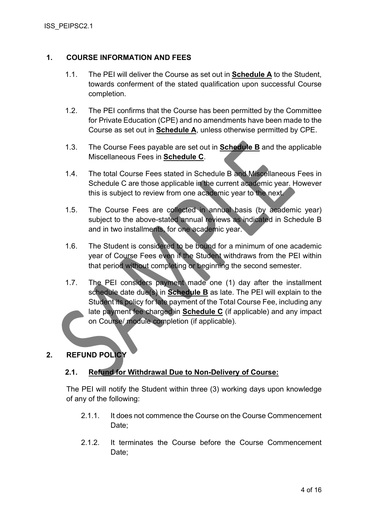#### 1. COURSE INFORMATION AND FEES

- 1.1. The PEI will deliver the Course as set out in Schedule A to the Student, towards conferment of the stated qualification upon successful Course completion.
- 1.2. The PEI confirms that the Course has been permitted by the Committee for Private Education (CPE) and no amendments have been made to the Course as set out in **Schedule A**, unless otherwise permitted by CPE.
- 1.3. The Course Fees payable are set out in Schedule B and the applicable Miscellaneous Fees in **Schedule C**.
- 1.4. The total Course Fees stated in Schedule B and Miscellaneous Fees in Schedule C are those applicable in the current academic year. However this is subject to review from one academic year to the next.
- 1.5. The Course Fees are collected in annual basis (by academic year) subject to the above-stated annual reviews as indicated in Schedule B and in two installments, for one academic year.
- 1.6. The Student is considered to be bound for a minimum of one academic year of Course Fees even if the Student withdraws from the PEI within that period without completing or beginning the second semester.
- 1.7. The PEI considers payment made one (1) day after the installment schedule date due(s) in **Schedule B** as late. The PEI will explain to the Student its policy for late payment of the Total Course Fee, including any late payment fee charged in **Schedule C** (if applicable) and any impact on Course/ module completion (if applicable).

#### 2. REFUND POLICY

#### 2.1. Refund for Withdrawal Due to Non-Delivery of Course:

The PEI will notify the Student within three (3) working days upon knowledge of any of the following:

- 2.1.1. It does not commence the Course on the Course Commencement Date;
- 2.1.2. It terminates the Course before the Course Commencement Date: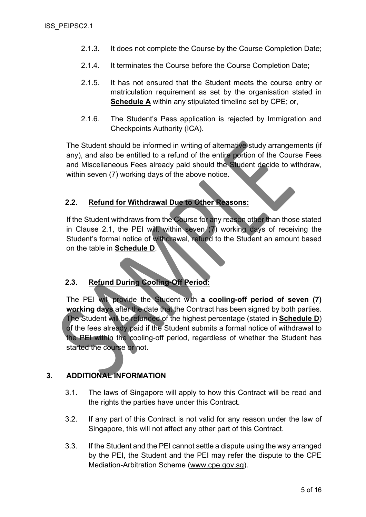- 2.1.3. It does not complete the Course by the Course Completion Date;
- 2.1.4. It terminates the Course before the Course Completion Date;
- 2.1.5. It has not ensured that the Student meets the course entry or matriculation requirement as set by the organisation stated in Schedule A within any stipulated timeline set by CPE; or,
- 2.1.6. The Student's Pass application is rejected by Immigration and Checkpoints Authority (ICA).

The Student should be informed in writing of alternative study arrangements (if any), and also be entitled to a refund of the entire portion of the Course Fees and Miscellaneous Fees already paid should the Student decide to withdraw, within seven (7) working days of the above notice.

#### 2.2. Refund for Withdrawal Due to Other Reasons:

If the Student withdraws from the Course for any reason other than those stated in Clause 2.1, the PEI will, within seven (7) working days of receiving the Student's formal notice of withdrawal, refund to the Student an amount based on the table in Schedule D.

#### 2.3. Refund During Cooling-Off Period:

The PEI will provide the Student with a cooling-off period of seven (7) working days after the date that the Contract has been signed by both parties. The Student will be refunded of the highest percentage (stated in Schedule D) of the fees already paid if the Student submits a formal notice of withdrawal to the PEI within the cooling-off period, regardless of whether the Student has started the course or not.

#### 3. ADDITIONAL INFORMATION

- 3.1. The laws of Singapore will apply to how this Contract will be read and the rights the parties have under this Contract.
- 3.2. If any part of this Contract is not valid for any reason under the law of Singapore, this will not affect any other part of this Contract.
- 3.3. If the Student and the PEI cannot settle a dispute using the way arranged by the PEI, the Student and the PEI may refer the dispute to the CPE Mediation-Arbitration Scheme (www.cpe.gov.sg).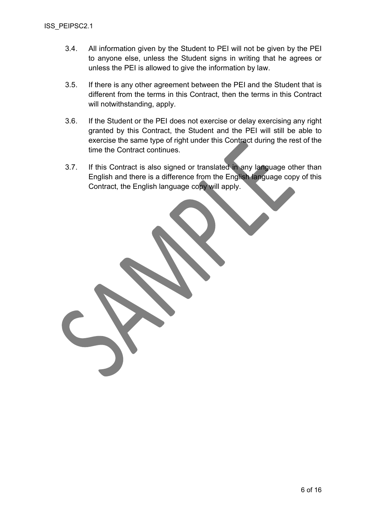- 3.4. All information given by the Student to PEI will not be given by the PEI to anyone else, unless the Student signs in writing that he agrees or unless the PEI is allowed to give the information by law.
- 3.5. If there is any other agreement between the PEI and the Student that is different from the terms in this Contract, then the terms in this Contract will notwithstanding, apply.
- 3.6. If the Student or the PEI does not exercise or delay exercising any right granted by this Contract, the Student and the PEI will still be able to exercise the same type of right under this Contract during the rest of the time the Contract continues.
- 3.7. If this Contract is also signed or translated in any language other than English and there is a difference from the English language copy of this Contract, the English language copy will apply.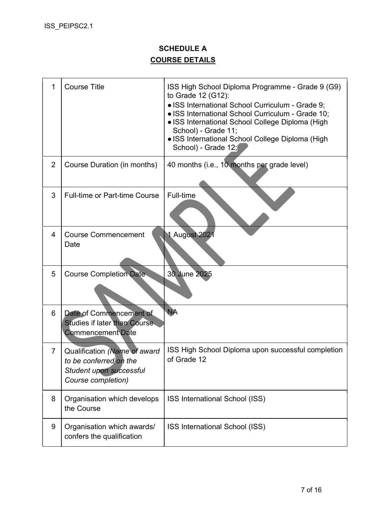## SCHEDULE A COURSE DETAILS

| 1 | <b>Course Title</b>                                                                                     | ISS High School Diploma Programme - Grade 9 (G9)<br>to Grade 12 (G12):<br>• ISS International School Curriculum - Grade 9;<br>• ISS International School Curriculum - Grade 10;<br>• ISS International School College Diploma (High<br>School) - Grade 11;<br>• ISS International School College Diploma (High<br>School) - Grade 12; |
|---|---------------------------------------------------------------------------------------------------------|---------------------------------------------------------------------------------------------------------------------------------------------------------------------------------------------------------------------------------------------------------------------------------------------------------------------------------------|
| 2 | Course Duration (in months)                                                                             | 40 months (i.e., 10 months per grade level)                                                                                                                                                                                                                                                                                           |
| 3 | <b>Full-time or Part-time Course</b>                                                                    | Full-time                                                                                                                                                                                                                                                                                                                             |
| 4 | <b>Course Commencement</b><br>Date                                                                      | 1 August 2021                                                                                                                                                                                                                                                                                                                         |
| 5 | <b>Course Completion Date</b>                                                                           | 30 June 2025                                                                                                                                                                                                                                                                                                                          |
| 6 | Date of Commencement of<br><b>Studies if later than Course</b><br>Commencement Date                     | <b>NA</b>                                                                                                                                                                                                                                                                                                                             |
|   | Qualification (Name of award<br>to be conferred on the<br>Student upon successful<br>Course completion) | ISS High School Diploma upon successful completion<br>of Grade 12                                                                                                                                                                                                                                                                     |
| 8 | Organisation which develops<br>the Course                                                               | ISS International School (ISS)                                                                                                                                                                                                                                                                                                        |
| 9 | Organisation which awards/<br>confers the qualification                                                 | ISS International School (ISS)                                                                                                                                                                                                                                                                                                        |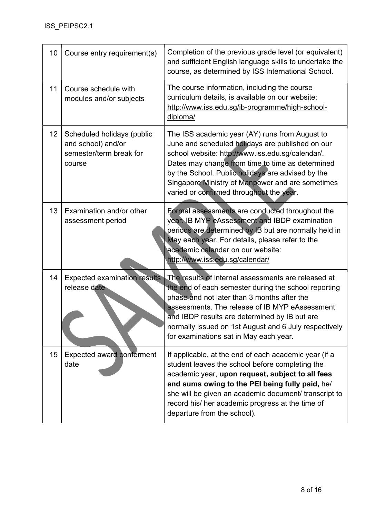| 10 | Course entry requirement(s)                                                           | Completion of the previous grade level (or equivalent)<br>and sufficient English language skills to undertake the<br>course, as determined by ISS International School.                                                                                                                                                                                          |
|----|---------------------------------------------------------------------------------------|------------------------------------------------------------------------------------------------------------------------------------------------------------------------------------------------------------------------------------------------------------------------------------------------------------------------------------------------------------------|
| 11 | Course schedule with<br>modules and/or subjects                                       | The course information, including the course<br>curriculum details, is available on our website:<br>http://www.iss.edu.sg/ib-programme/high-school-<br>diploma/                                                                                                                                                                                                  |
| 12 | Scheduled holidays (public<br>and school) and/or<br>semester/term break for<br>course | The ISS academic year (AY) runs from August to<br>June and scheduled holidays are published on our<br>school website: http://www.iss.edu.sg/calendar/.<br>Dates may change from time to time as determined<br>by the School. Public holidays are advised by the<br>Singapore Ministry of Manpower and are sometimes<br>varied or confirmed throughout the year.  |
| 13 | Examination and/or other<br>assessment period                                         | Formal assessments are conducted throughout the<br>year. IB MYP eAssessment and IBDP examination<br>periods are determined by IB but are normally held in<br>May each year. For details, please refer to the<br>academic calendar on our website:<br>http://www.iss.edu.sg/calendar/                                                                             |
| 14 | <b>Expected examination results</b><br>release date                                   | The results of internal assessments are released at<br>the end of each semester during the school reporting<br>phase and not later than 3 months after the<br>assessments. The release of IB MYP eAssessment<br>and IBDP results are determined by IB but are<br>normally issued on 1st August and 6 July respectively<br>for examinations sat in May each year. |
| 15 | Expected award conferment<br>date                                                     | If applicable, at the end of each academic year (if a<br>student leaves the school before completing the<br>academic year, upon request, subject to all fees<br>and sums owing to the PEI being fully paid, he/<br>she will be given an academic document/ transcript to<br>record his/ her academic progress at the time of<br>departure from the school).      |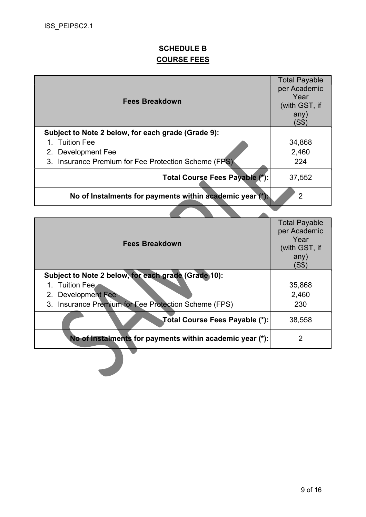## SCHEDULE B COURSE FEES

| <b>Fees Breakdown</b>                                    | <b>Total Payable</b><br>per Academic<br>Year<br>(with GST, if<br>any)<br>(S\$) |
|----------------------------------------------------------|--------------------------------------------------------------------------------|
| Subject to Note 2 below, for each grade (Grade 9):       |                                                                                |
| 1. Tuition Fee                                           | 34,868                                                                         |
| 2. Development Fee                                       | 2,460                                                                          |
| 3. Insurance Premium for Fee Protection Scheme (FPS)     | 224                                                                            |
| Total Course Fees Payable (*):                           | 37,552                                                                         |
| No of Instalments for payments within academic year (*). | 2                                                                              |
|                                                          |                                                                                |

| <b>Fees Breakdown</b>                                    | <b>Total Payable</b><br>per Academic<br>Year<br>(with GST, if<br>any)<br>(S\$) |
|----------------------------------------------------------|--------------------------------------------------------------------------------|
| Subject to Note 2 below, for each grade (Grade 10):      |                                                                                |
| 1. Tuition Fee                                           | 35,868                                                                         |
| 2. Development Fee                                       | 2,460                                                                          |
| 3. Insurance Premium for Fee Protection Scheme (FPS)     | 230                                                                            |
| Total Course Fees Payable (*):                           | 38,558                                                                         |
| No of Instalments for payments within academic year (*): | 2                                                                              |
|                                                          |                                                                                |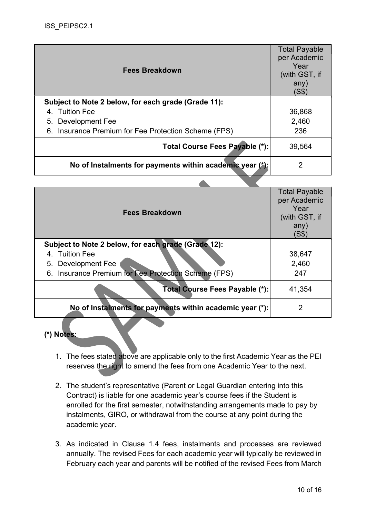| <b>Fees Breakdown</b>                                    | <b>Total Payable</b><br>per Academic<br>Year<br>(with GST, if<br>any)<br>(S\$) |
|----------------------------------------------------------|--------------------------------------------------------------------------------|
| Subject to Note 2 below, for each grade (Grade 11):      |                                                                                |
| 4. Tuition Fee                                           | 36,868                                                                         |
| 5. Development Fee                                       | 2,460                                                                          |
| 6. Insurance Premium for Fee Protection Scheme (FPS)     | 236                                                                            |
| Total Course Fees Payable (*):                           | 39,564                                                                         |
| No of Instalments for payments within academic year (*): | 2                                                                              |

 $\sqrt{2}$ 

| <b>Fees Breakdown</b>                                                                                                                               | <b>Total Payable</b><br>per Academic<br>Year<br>(with GST, if<br>any)<br>(S\$) |
|-----------------------------------------------------------------------------------------------------------------------------------------------------|--------------------------------------------------------------------------------|
| Subject to Note 2 below, for each grade (Grade 12):<br>4. Tuition Fee<br>5. Development Fee<br>6. Insurance Premium for Fee Protection Scheme (FPS) | 38,647<br>2,460<br>247                                                         |
| Total Course Fees Payable (*):                                                                                                                      | 41,354                                                                         |
| No of Instalments for payments within academic year (*):                                                                                            | 2                                                                              |

(\*) Notes:

- 1. The fees stated above are applicable only to the first Academic Year as the PEI reserves the right to amend the fees from one Academic Year to the next.
- 2. The student's representative (Parent or Legal Guardian entering into this Contract) is liable for one academic year's course fees if the Student is enrolled for the first semester, notwithstanding arrangements made to pay by instalments, GIRO, or withdrawal from the course at any point during the academic year.
- 3. As indicated in Clause 1.4 fees, instalments and processes are reviewed annually. The revised Fees for each academic year will typically be reviewed in February each year and parents will be notified of the revised Fees from March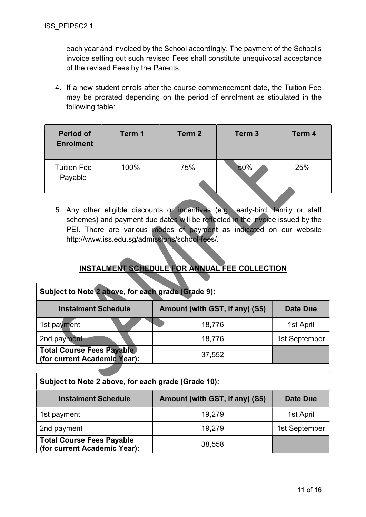each year and invoiced by the School accordingly. The payment of the School's invoice setting out such revised Fees shall constitute unequivocal acceptance of the revised Fees by the Parents.

4. If a new student enrols after the course commencement date, the Tuition Fee may be prorated depending on the period of enrolment as stipulated in the following table:

| <b>Period of</b><br><b>Enrolment</b> | Term 1 | Term 2 | Term <sub>3</sub> | Term 4 |
|--------------------------------------|--------|--------|-------------------|--------|
| <b>Tuition Fee</b><br>Payable        | 100%   | 75%    | 50%               | 25%    |

5. Any other eligible discounts or incentives (e.g., early-bird, family or staff schemes) and payment due dates will be reflected in the invoice issued by the PEI. There are various modes of payment as indicated on our website http://www.iss.edu.sg/admissions/school-fees/.

## INSTALMENT SCHEDULE FOR ANNUAL FEE COLLECTION

| Subject to Note 2 above, for each grade (Grade 9):                        |        |               |  |
|---------------------------------------------------------------------------|--------|---------------|--|
| Amount (with GST, if any) (S\$)<br><b>Instalment Schedule</b><br>Date Due |        |               |  |
| 1st payment                                                               | 18,776 | 1st April     |  |
| 2nd payment                                                               | 18,776 | 1st September |  |
| <b>Total Course Fees Payable</b><br>(for current Academic Year):          | 37,552 |               |  |
|                                                                           |        |               |  |

| Subject to Note 2 above, for each grade (Grade 10):                              |        |               |  |
|----------------------------------------------------------------------------------|--------|---------------|--|
| Amount (with GST, if any) (S\$)<br><b>Instalment Schedule</b><br><b>Date Due</b> |        |               |  |
| 1st payment                                                                      | 19,279 | 1st April     |  |
| 2nd payment                                                                      | 19,279 | 1st September |  |
| <b>Total Course Fees Payable</b><br>(for current Academic Year):                 | 38,558 |               |  |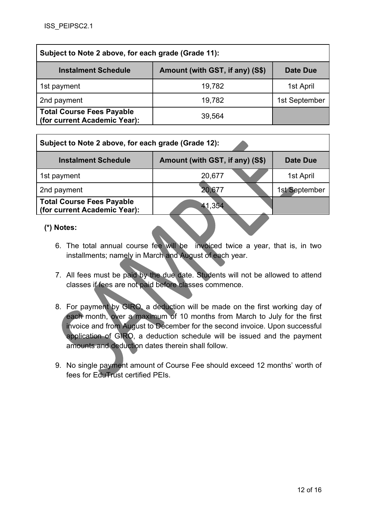| Subject to Note 2 above, for each grade (Grade 11):                        |        |               |  |
|----------------------------------------------------------------------------|--------|---------------|--|
| Amount (with GST, if any) (S\$)<br><b>Instalment Schedule</b><br>Date Due  |        |               |  |
| 1st payment                                                                | 19,782 | 1st April     |  |
| 2nd payment                                                                | 19,782 | 1st September |  |
| <b>Total Course Fees Payable</b><br>39,564<br>(for current Academic Year): |        |               |  |

| Subject to Note 2 above, for each grade (Grade 12):              |                                 |                 |
|------------------------------------------------------------------|---------------------------------|-----------------|
| <b>Instalment Schedule</b>                                       | Amount (with GST, if any) (S\$) | <b>Date Due</b> |
| 1st payment                                                      | 20,677                          | 1st April       |
| 2nd payment                                                      | 20,677                          | 1st September   |
| <b>Total Course Fees Payable</b><br>(for current Academic Year): | 41,354                          |                 |

#### (\*) Notes:

- 6. The total annual course fee will be invoiced twice a year, that is, in two installments; namely in March and August of each year.
- 7. All fees must be paid by the due date. Students will not be allowed to attend classes if fees are not paid before classes commence.
- 8. For payment by GIRO, a deduction will be made on the first working day of each month, over a maximum of 10 months from March to July for the first invoice and from August to December for the second invoice. Upon successful application of GIRO, a deduction schedule will be issued and the payment amounts and deduction dates therein shall follow.
- 9. No single payment amount of Course Fee should exceed 12 months' worth of fees for EduTrust certified PEIs.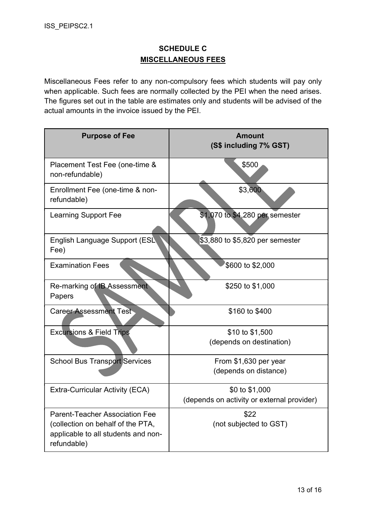## SCHEDULE C MISCELLANEOUS FEES

Miscellaneous Fees refer to any non-compulsory fees which students will pay only when applicable. Such fees are normally collected by the PEI when the need arises. The figures set out in the table are estimates only and students will be advised of the actual amounts in the invoice issued by the PEI.

| <b>Purpose of Fee</b>                                                                   | <b>Amount</b><br>(S\$ including 7% GST)    |
|-----------------------------------------------------------------------------------------|--------------------------------------------|
| Placement Test Fee (one-time &<br>non-refundable)                                       | \$500                                      |
| Enrollment Fee (one-time & non-<br>refundable)                                          | \$3,600                                    |
| <b>Learning Support Fee</b>                                                             | \$1,070 to \$4,280 per semester            |
| English Language Support (ESL<br>Fee)                                                   | \$3,880 to \$5,820 per semester            |
| <b>Examination Fees</b>                                                                 | \$600 to \$2,000                           |
| Re-marking of IB Assessment<br>Papers                                                   | \$250 to \$1,000                           |
| <b>Career Assessment Test</b>                                                           | \$160 to \$400                             |
| <b>Excursions &amp; Field Trips</b>                                                     | \$10 to \$1,500                            |
|                                                                                         | (depends on destination)                   |
| <b>School Bus Transport Services</b>                                                    | From \$1,630 per year                      |
|                                                                                         | (depends on distance)                      |
| <b>Extra-Curricular Activity (ECA)</b>                                                  | \$0 to \$1,000                             |
|                                                                                         | (depends on activity or external provider) |
| <b>Parent-Teacher Association Fee</b>                                                   | \$22                                       |
| (collection on behalf of the PTA,<br>applicable to all students and non-<br>refundable) | (not subjected to GST)                     |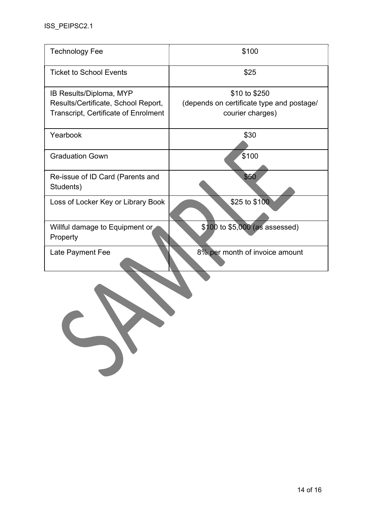| \$100                                                                          |
|--------------------------------------------------------------------------------|
| \$25                                                                           |
| \$10 to \$250<br>(depends on certificate type and postage/<br>courier charges) |
| \$30                                                                           |
| \$100                                                                          |
| \$50                                                                           |
| \$25 to \$100                                                                  |
| \$100 to \$5,000 (as assessed)                                                 |
| 8% per month of invoice amount                                                 |
|                                                                                |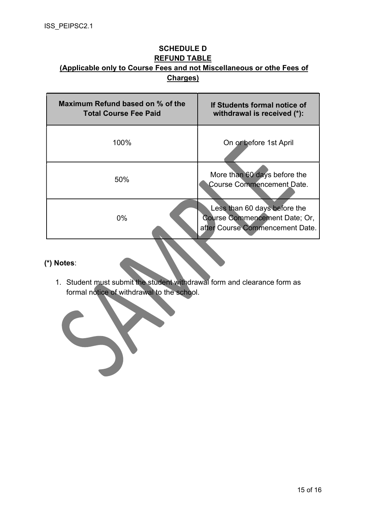### SCHEDULE D REFUND TABLE (Applicable only to Course Fees and not Miscellaneous or othe Fees of Charges)

| Maximum Refund based on % of the<br><b>Total Course Fee Paid</b> | If Students formal notice of<br>withdrawal is received (*):                                      |
|------------------------------------------------------------------|--------------------------------------------------------------------------------------------------|
| 100%                                                             | On or before 1st April                                                                           |
| 50%                                                              | More than 60 days before the<br>Course Commencement Date.                                        |
| $0\%$                                                            | Less than 60 days before the<br>Course Commencement Date; Or,<br>after Course Commencement Date. |

## (\*) Notes:

1. Student must submit the student withdrawal form and clearance form as formal notice of withdrawal to the school.